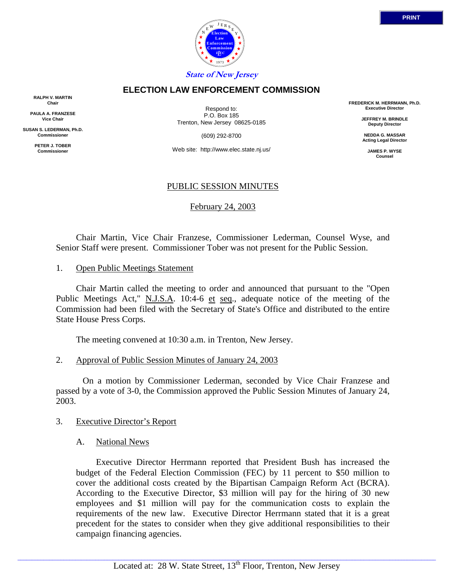

## **ELECTION LAW ENFORCEMENT COMMISSION**

**RALPH V. MARTIN Chair**

**PAULA A. FRANZESE Vice Chair**

**SUSAN S. LEDERMAN, Ph.D. Commissioner**

> **PETER J. TOBER Commissioner**

Respond to: P.O. Box 185 Trenton, New Jersey 08625-0185

(609) 292-8700

Web site: http://www.elec.state.nj.us/

## PUBLIC SESSION MINUTES

February 24, 2003

 Chair Martin, Vice Chair Franzese, Commissioner Lederman, Counsel Wyse, and Senior Staff were present. Commissioner Tober was not present for the Public Session.

1. Open Public Meetings Statement

 Chair Martin called the meeting to order and announced that pursuant to the "Open Public Meetings Act," N.J.S.A. 10:4-6 et seq., adequate notice of the meeting of the Commission had been filed with the Secretary of State's Office and distributed to the entire State House Press Corps.

The meeting convened at 10:30 a.m. in Trenton, New Jersey.

2. Approval of Public Session Minutes of January 24, 2003

 On a motion by Commissioner Lederman, seconded by Vice Chair Franzese and passed by a vote of 3-0, the Commission approved the Public Session Minutes of January 24, 2003.

- 3. Executive Director's Report
	- A. National News

Executive Director Herrmann reported that President Bush has increased the budget of the Federal Election Commission (FEC) by 11 percent to \$50 million to cover the additional costs created by the Bipartisan Campaign Reform Act (BCRA). According to the Executive Director, \$3 million will pay for the hiring of 30 new employees and \$1 million will pay for the communication costs to explain the requirements of the new law. Executive Director Herrmann stated that it is a great precedent for the states to consider when they give additional responsibilities to their campaign financing agencies.

**FREDERICK M. HERRMANN, Ph.D. Executive Director JEFFREY M. BRINDLE Deputy Director NEDDA G. MASSAR Acting Legal Director JAMES P. WYSE Counsel**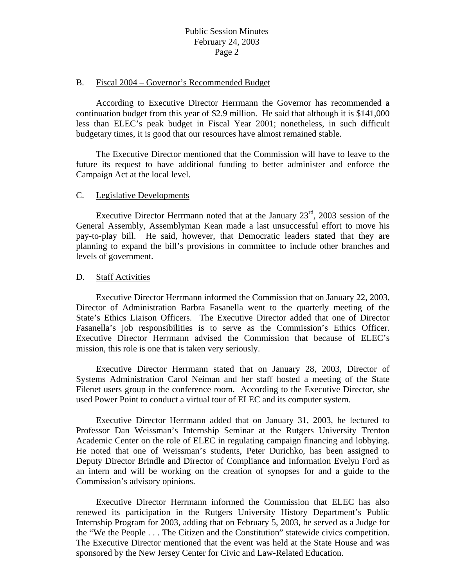### B. Fiscal 2004 – Governor's Recommended Budget

 According to Executive Director Herrmann the Governor has recommended a continuation budget from this year of \$2.9 million. He said that although it is \$141,000 less than ELEC's peak budget in Fiscal Year 2001; nonetheless, in such difficult budgetary times, it is good that our resources have almost remained stable.

 The Executive Director mentioned that the Commission will have to leave to the future its request to have additional funding to better administer and enforce the Campaign Act at the local level.

## C. Legislative Developments

Executive Director Herrmann noted that at the January  $23<sup>rd</sup>$ , 2003 session of the General Assembly, Assemblyman Kean made a last unsuccessful effort to move his pay-to-play bill. He said, however, that Democratic leaders stated that they are planning to expand the bill's provisions in committee to include other branches and levels of government.

## D. Staff Activities

 Executive Director Herrmann informed the Commission that on January 22, 2003, Director of Administration Barbra Fasanella went to the quarterly meeting of the State's Ethics Liaison Officers. The Executive Director added that one of Director Fasanella's job responsibilities is to serve as the Commission's Ethics Officer. Executive Director Herrmann advised the Commission that because of ELEC's mission, this role is one that is taken very seriously.

 Executive Director Herrmann stated that on January 28, 2003, Director of Systems Administration Carol Neiman and her staff hosted a meeting of the State Filenet users group in the conference room. According to the Executive Director, she used Power Point to conduct a virtual tour of ELEC and its computer system.

 Executive Director Herrmann added that on January 31, 2003, he lectured to Professor Dan Weissman's Internship Seminar at the Rutgers University Trenton Academic Center on the role of ELEC in regulating campaign financing and lobbying. He noted that one of Weissman's students, Peter Durichko, has been assigned to Deputy Director Brindle and Director of Compliance and Information Evelyn Ford as an intern and will be working on the creation of synopses for and a guide to the Commission's advisory opinions.

 Executive Director Herrmann informed the Commission that ELEC has also renewed its participation in the Rutgers University History Department's Public Internship Program for 2003, adding that on February 5, 2003, he served as a Judge for the "We the People . . . The Citizen and the Constitution" statewide civics competition. The Executive Director mentioned that the event was held at the State House and was sponsored by the New Jersey Center for Civic and Law-Related Education.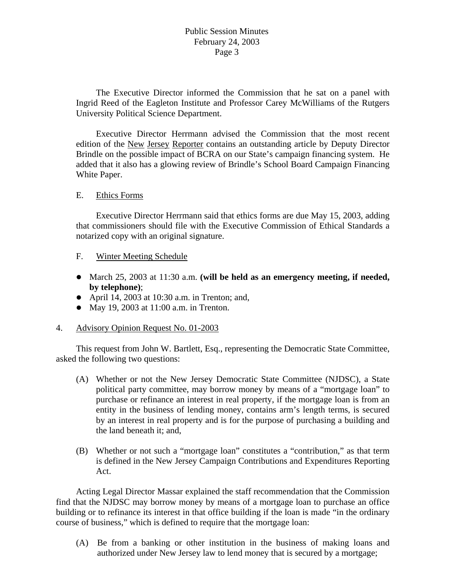# Public Session Minutes February 24, 2003 Page 3

 The Executive Director informed the Commission that he sat on a panel with Ingrid Reed of the Eagleton Institute and Professor Carey McWilliams of the Rutgers University Political Science Department.

 Executive Director Herrmann advised the Commission that the most recent edition of the New Jersey Reporter contains an outstanding article by Deputy Director Brindle on the possible impact of BCRA on our State's campaign financing system. He added that it also has a glowing review of Brindle's School Board Campaign Financing White Paper.

## E. Ethics Forms

 Executive Director Herrmann said that ethics forms are due May 15, 2003, adding that commissioners should file with the Executive Commission of Ethical Standards a notarized copy with an original signature.

## F. Winter Meeting Schedule

- March 25, 2003 at 11:30 a.m. (will be held as an emergency meeting, if needed, **by telephone)**;
- April 14, 2003 at 10:30 a.m. in Trenton; and,
- May 19, 2003 at  $11:00$  a.m. in Trenton.

## 4. Advisory Opinion Request No. 01-2003

 This request from John W. Bartlett, Esq., representing the Democratic State Committee, asked the following two questions:

- (A) Whether or not the New Jersey Democratic State Committee (NJDSC), a State political party committee, may borrow money by means of a "mortgage loan" to purchase or refinance an interest in real property, if the mortgage loan is from an entity in the business of lending money, contains arm's length terms, is secured by an interest in real property and is for the purpose of purchasing a building and the land beneath it; and,
- (B) Whether or not such a "mortgage loan" constitutes a "contribution," as that term is defined in the New Jersey Campaign Contributions and Expenditures Reporting Act.

 Acting Legal Director Massar explained the staff recommendation that the Commission find that the NJDSC may borrow money by means of a mortgage loan to purchase an office building or to refinance its interest in that office building if the loan is made "in the ordinary course of business," which is defined to require that the mortgage loan:

(A) Be from a banking or other institution in the business of making loans and authorized under New Jersey law to lend money that is secured by a mortgage;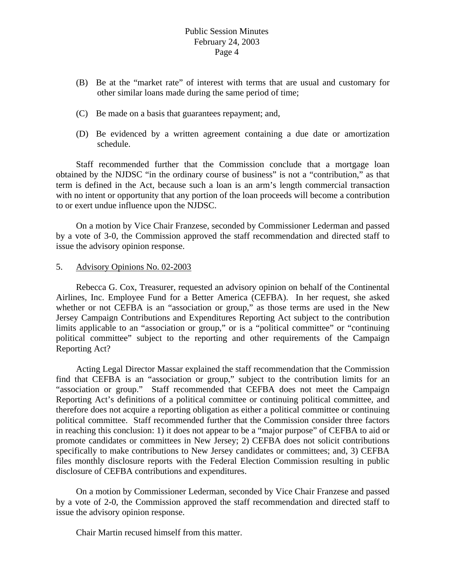- (B) Be at the "market rate" of interest with terms that are usual and customary for other similar loans made during the same period of time;
- (C) Be made on a basis that guarantees repayment; and,
- (D) Be evidenced by a written agreement containing a due date or amortization schedule.

 Staff recommended further that the Commission conclude that a mortgage loan obtained by the NJDSC "in the ordinary course of business" is not a "contribution," as that term is defined in the Act, because such a loan is an arm's length commercial transaction with no intent or opportunity that any portion of the loan proceeds will become a contribution to or exert undue influence upon the NJDSC.

 On a motion by Vice Chair Franzese, seconded by Commissioner Lederman and passed by a vote of 3-0, the Commission approved the staff recommendation and directed staff to issue the advisory opinion response.

## 5. Advisory Opinions No. 02-2003

 Rebecca G. Cox, Treasurer, requested an advisory opinion on behalf of the Continental Airlines, Inc. Employee Fund for a Better America (CEFBA). In her request, she asked whether or not CEFBA is an "association or group," as those terms are used in the New Jersey Campaign Contributions and Expenditures Reporting Act subject to the contribution limits applicable to an "association or group," or is a "political committee" or "continuing political committee" subject to the reporting and other requirements of the Campaign Reporting Act?

 Acting Legal Director Massar explained the staff recommendation that the Commission find that CEFBA is an "association or group," subject to the contribution limits for an "association or group." Staff recommended that CEFBA does not meet the Campaign Reporting Act's definitions of a political committee or continuing political committee, and therefore does not acquire a reporting obligation as either a political committee or continuing political committee. Staff recommended further that the Commission consider three factors in reaching this conclusion: 1) it does not appear to be a "major purpose" of CEFBA to aid or promote candidates or committees in New Jersey; 2) CEFBA does not solicit contributions specifically to make contributions to New Jersey candidates or committees; and, 3) CEFBA files monthly disclosure reports with the Federal Election Commission resulting in public disclosure of CEFBA contributions and expenditures.

 On a motion by Commissioner Lederman, seconded by Vice Chair Franzese and passed by a vote of 2-0, the Commission approved the staff recommendation and directed staff to issue the advisory opinion response.

Chair Martin recused himself from this matter.